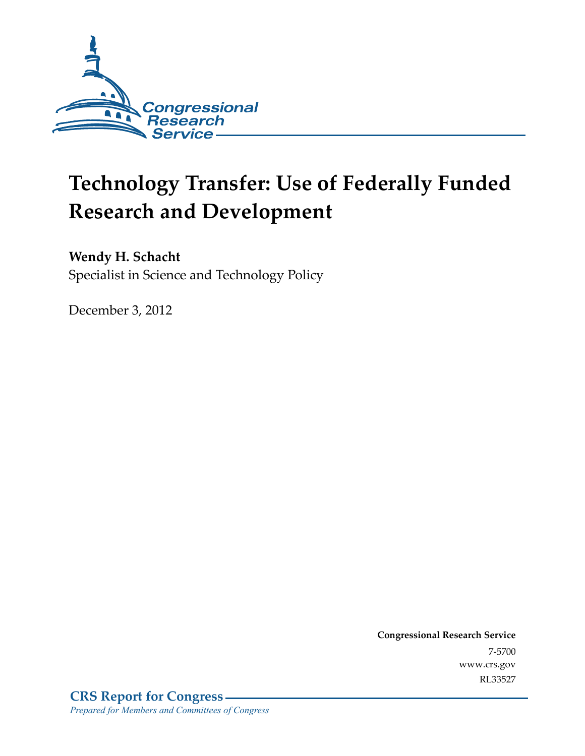

# **Technology Transfer: Use of Federally Funded Research and Development**

### **Wendy H. Schacht**

Specialist in Science and Technology Policy

December 3, 2012

**Congressional Research Service**  7-5700 www.crs.gov RL33527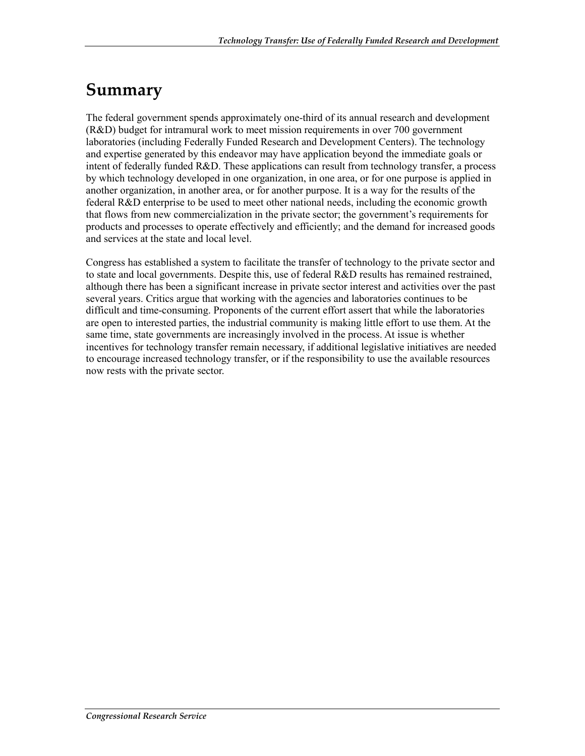### **Summary**

The federal government spends approximately one-third of its annual research and development (R&D) budget for intramural work to meet mission requirements in over 700 government laboratories (including Federally Funded Research and Development Centers). The technology and expertise generated by this endeavor may have application beyond the immediate goals or intent of federally funded R&D. These applications can result from technology transfer, a process by which technology developed in one organization, in one area, or for one purpose is applied in another organization, in another area, or for another purpose. It is a way for the results of the federal R&D enterprise to be used to meet other national needs, including the economic growth that flows from new commercialization in the private sector; the government's requirements for products and processes to operate effectively and efficiently; and the demand for increased goods and services at the state and local level.

Congress has established a system to facilitate the transfer of technology to the private sector and to state and local governments. Despite this, use of federal R&D results has remained restrained, although there has been a significant increase in private sector interest and activities over the past several years. Critics argue that working with the agencies and laboratories continues to be difficult and time-consuming. Proponents of the current effort assert that while the laboratories are open to interested parties, the industrial community is making little effort to use them. At the same time, state governments are increasingly involved in the process. At issue is whether incentives for technology transfer remain necessary, if additional legislative initiatives are needed to encourage increased technology transfer, or if the responsibility to use the available resources now rests with the private sector.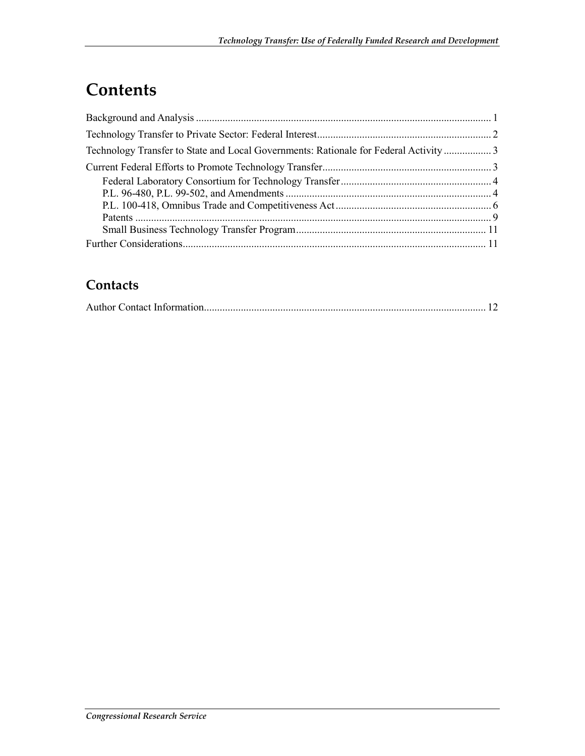## **Contents**

| Technology Transfer to State and Local Governments: Rationale for Federal Activity  3 |  |
|---------------------------------------------------------------------------------------|--|
|                                                                                       |  |
|                                                                                       |  |
|                                                                                       |  |
|                                                                                       |  |
|                                                                                       |  |
|                                                                                       |  |
|                                                                                       |  |

### **Contacts**

|--|--|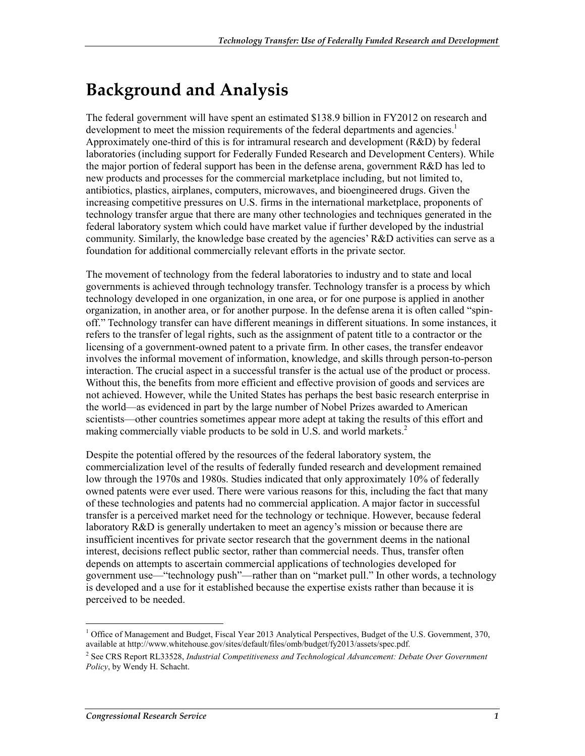### **Background and Analysis**

The federal government will have spent an estimated \$138.9 billion in FY2012 on research and development to meet the mission requirements of the federal departments and agencies.<sup>1</sup> Approximately one-third of this is for intramural research and development (R&D) by federal laboratories (including support for Federally Funded Research and Development Centers). While the major portion of federal support has been in the defense arena, government R&D has led to new products and processes for the commercial marketplace including, but not limited to, antibiotics, plastics, airplanes, computers, microwaves, and bioengineered drugs. Given the increasing competitive pressures on U.S. firms in the international marketplace, proponents of technology transfer argue that there are many other technologies and techniques generated in the federal laboratory system which could have market value if further developed by the industrial community. Similarly, the knowledge base created by the agencies' R&D activities can serve as a foundation for additional commercially relevant efforts in the private sector.

The movement of technology from the federal laboratories to industry and to state and local governments is achieved through technology transfer. Technology transfer is a process by which technology developed in one organization, in one area, or for one purpose is applied in another organization, in another area, or for another purpose. In the defense arena it is often called "spinoff." Technology transfer can have different meanings in different situations. In some instances, it refers to the transfer of legal rights, such as the assignment of patent title to a contractor or the licensing of a government-owned patent to a private firm. In other cases, the transfer endeavor involves the informal movement of information, knowledge, and skills through person-to-person interaction. The crucial aspect in a successful transfer is the actual use of the product or process. Without this, the benefits from more efficient and effective provision of goods and services are not achieved. However, while the United States has perhaps the best basic research enterprise in the world—as evidenced in part by the large number of Nobel Prizes awarded to American scientists—other countries sometimes appear more adept at taking the results of this effort and making commercially viable products to be sold in U.S. and world markets. $^2$ 

Despite the potential offered by the resources of the federal laboratory system, the commercialization level of the results of federally funded research and development remained low through the 1970s and 1980s. Studies indicated that only approximately 10% of federally owned patents were ever used. There were various reasons for this, including the fact that many of these technologies and patents had no commercial application. A major factor in successful transfer is a perceived market need for the technology or technique. However, because federal laboratory R&D is generally undertaken to meet an agency's mission or because there are insufficient incentives for private sector research that the government deems in the national interest, decisions reflect public sector, rather than commercial needs. Thus, transfer often depends on attempts to ascertain commercial applications of technologies developed for government use—"technology push"—rather than on "market pull." In other words, a technology is developed and a use for it established because the expertise exists rather than because it is perceived to be needed.

<sup>1</sup> <sup>1</sup> Office of Management and Budget, Fiscal Year 2013 Analytical Perspectives, Budget of the U.S. Government, 370, available at http://www.whitehouse.gov/sites/default/files/omb/budget/fy2013/assets/spec.pdf.

<sup>&</sup>lt;sup>2</sup> See CRS Report RL33528, *Industrial Competitiveness and Technological Advancement: Debate Over Government Policy*, by Wendy H. Schacht.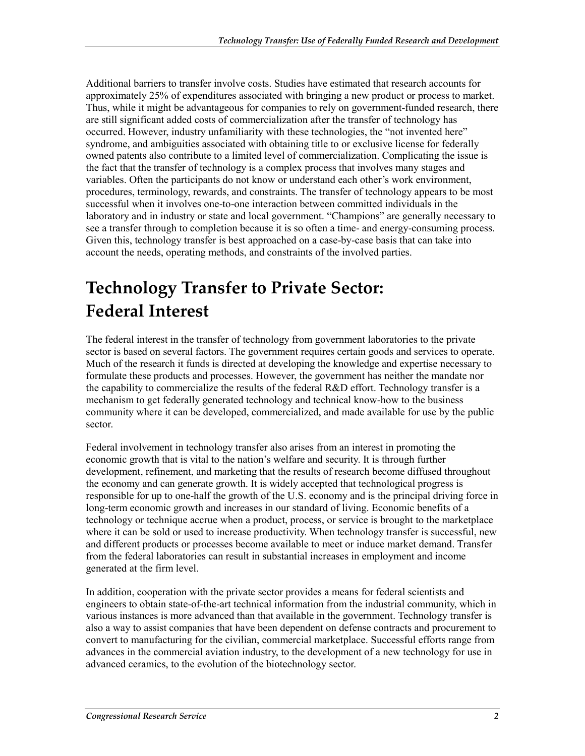Additional barriers to transfer involve costs. Studies have estimated that research accounts for approximately 25% of expenditures associated with bringing a new product or process to market. Thus, while it might be advantageous for companies to rely on government-funded research, there are still significant added costs of commercialization after the transfer of technology has occurred. However, industry unfamiliarity with these technologies, the "not invented here" syndrome, and ambiguities associated with obtaining title to or exclusive license for federally owned patents also contribute to a limited level of commercialization. Complicating the issue is the fact that the transfer of technology is a complex process that involves many stages and variables. Often the participants do not know or understand each other's work environment, procedures, terminology, rewards, and constraints. The transfer of technology appears to be most successful when it involves one-to-one interaction between committed individuals in the laboratory and in industry or state and local government. "Champions" are generally necessary to see a transfer through to completion because it is so often a time- and energy-consuming process. Given this, technology transfer is best approached on a case-by-case basis that can take into account the needs, operating methods, and constraints of the involved parties.

### **Technology Transfer to Private Sector: Federal Interest**

The federal interest in the transfer of technology from government laboratories to the private sector is based on several factors. The government requires certain goods and services to operate. Much of the research it funds is directed at developing the knowledge and expertise necessary to formulate these products and processes. However, the government has neither the mandate nor the capability to commercialize the results of the federal R&D effort. Technology transfer is a mechanism to get federally generated technology and technical know-how to the business community where it can be developed, commercialized, and made available for use by the public sector.

Federal involvement in technology transfer also arises from an interest in promoting the economic growth that is vital to the nation's welfare and security. It is through further development, refinement, and marketing that the results of research become diffused throughout the economy and can generate growth. It is widely accepted that technological progress is responsible for up to one-half the growth of the U.S. economy and is the principal driving force in long-term economic growth and increases in our standard of living. Economic benefits of a technology or technique accrue when a product, process, or service is brought to the marketplace where it can be sold or used to increase productivity. When technology transfer is successful, new and different products or processes become available to meet or induce market demand. Transfer from the federal laboratories can result in substantial increases in employment and income generated at the firm level.

In addition, cooperation with the private sector provides a means for federal scientists and engineers to obtain state-of-the-art technical information from the industrial community, which in various instances is more advanced than that available in the government. Technology transfer is also a way to assist companies that have been dependent on defense contracts and procurement to convert to manufacturing for the civilian, commercial marketplace. Successful efforts range from advances in the commercial aviation industry, to the development of a new technology for use in advanced ceramics, to the evolution of the biotechnology sector.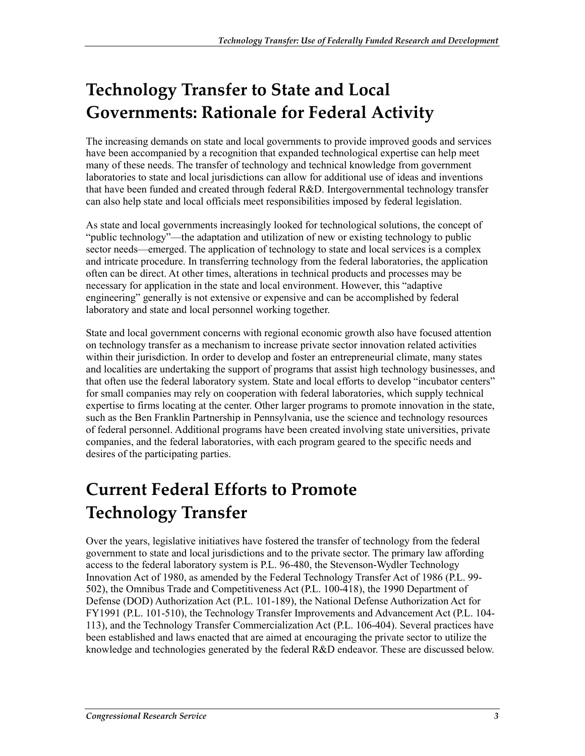## **Technology Transfer to State and Local Governments: Rationale for Federal Activity**

The increasing demands on state and local governments to provide improved goods and services have been accompanied by a recognition that expanded technological expertise can help meet many of these needs. The transfer of technology and technical knowledge from government laboratories to state and local jurisdictions can allow for additional use of ideas and inventions that have been funded and created through federal R&D. Intergovernmental technology transfer can also help state and local officials meet responsibilities imposed by federal legislation.

As state and local governments increasingly looked for technological solutions, the concept of "public technology"—the adaptation and utilization of new or existing technology to public sector needs—emerged. The application of technology to state and local services is a complex and intricate procedure. In transferring technology from the federal laboratories, the application often can be direct. At other times, alterations in technical products and processes may be necessary for application in the state and local environment. However, this "adaptive engineering" generally is not extensive or expensive and can be accomplished by federal laboratory and state and local personnel working together.

State and local government concerns with regional economic growth also have focused attention on technology transfer as a mechanism to increase private sector innovation related activities within their jurisdiction. In order to develop and foster an entrepreneurial climate, many states and localities are undertaking the support of programs that assist high technology businesses, and that often use the federal laboratory system. State and local efforts to develop "incubator centers" for small companies may rely on cooperation with federal laboratories, which supply technical expertise to firms locating at the center. Other larger programs to promote innovation in the state, such as the Ben Franklin Partnership in Pennsylvania, use the science and technology resources of federal personnel. Additional programs have been created involving state universities, private companies, and the federal laboratories, with each program geared to the specific needs and desires of the participating parties.

# **Current Federal Efforts to Promote Technology Transfer**

Over the years, legislative initiatives have fostered the transfer of technology from the federal government to state and local jurisdictions and to the private sector. The primary law affording access to the federal laboratory system is P.L. 96-480, the Stevenson-Wydler Technology Innovation Act of 1980, as amended by the Federal Technology Transfer Act of 1986 (P.L. 99- 502), the Omnibus Trade and Competitiveness Act (P.L. 100-418), the 1990 Department of Defense (DOD) Authorization Act (P.L. 101-189), the National Defense Authorization Act for FY1991 (P.L. 101-510), the Technology Transfer Improvements and Advancement Act (P.L. 104- 113), and the Technology Transfer Commercialization Act (P.L. 106-404). Several practices have been established and laws enacted that are aimed at encouraging the private sector to utilize the knowledge and technologies generated by the federal R&D endeavor. These are discussed below.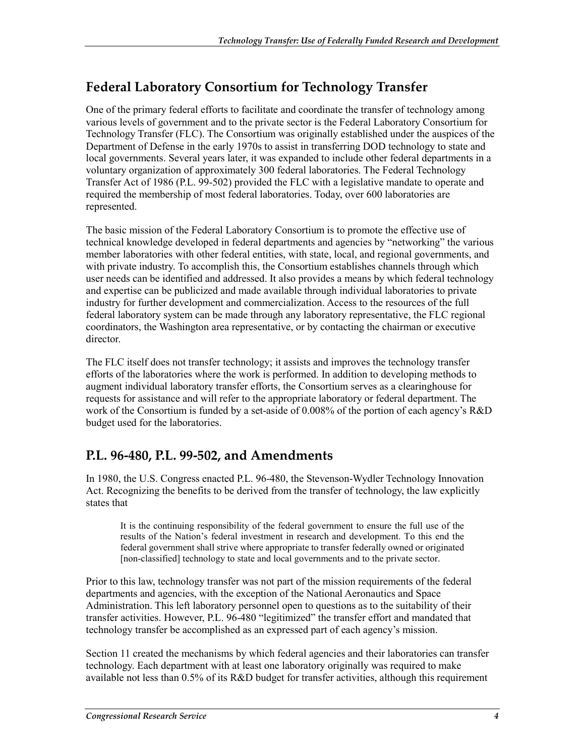### **Federal Laboratory Consortium for Technology Transfer**

One of the primary federal efforts to facilitate and coordinate the transfer of technology among various levels of government and to the private sector is the Federal Laboratory Consortium for Technology Transfer (FLC). The Consortium was originally established under the auspices of the Department of Defense in the early 1970s to assist in transferring DOD technology to state and local governments. Several years later, it was expanded to include other federal departments in a voluntary organization of approximately 300 federal laboratories. The Federal Technology Transfer Act of 1986 (P.L. 99-502) provided the FLC with a legislative mandate to operate and required the membership of most federal laboratories. Today, over 600 laboratories are represented.

The basic mission of the Federal Laboratory Consortium is to promote the effective use of technical knowledge developed in federal departments and agencies by "networking" the various member laboratories with other federal entities, with state, local, and regional governments, and with private industry. To accomplish this, the Consortium establishes channels through which user needs can be identified and addressed. It also provides a means by which federal technology and expertise can be publicized and made available through individual laboratories to private industry for further development and commercialization. Access to the resources of the full federal laboratory system can be made through any laboratory representative, the FLC regional coordinators, the Washington area representative, or by contacting the chairman or executive director.

The FLC itself does not transfer technology; it assists and improves the technology transfer efforts of the laboratories where the work is performed. In addition to developing methods to augment individual laboratory transfer efforts, the Consortium serves as a clearinghouse for requests for assistance and will refer to the appropriate laboratory or federal department. The work of the Consortium is funded by a set-aside of 0.008% of the portion of each agency's R&D budget used for the laboratories.

#### **P.L. 96-480, P.L. 99-502, and Amendments**

In 1980, the U.S. Congress enacted P.L. 96-480, the Stevenson-Wydler Technology Innovation Act. Recognizing the benefits to be derived from the transfer of technology, the law explicitly states that

It is the continuing responsibility of the federal government to ensure the full use of the results of the Nation's federal investment in research and development. To this end the federal government shall strive where appropriate to transfer federally owned or originated [non-classified] technology to state and local governments and to the private sector.

Prior to this law, technology transfer was not part of the mission requirements of the federal departments and agencies, with the exception of the National Aeronautics and Space Administration. This left laboratory personnel open to questions as to the suitability of their transfer activities. However, P.L. 96-480 "legitimized" the transfer effort and mandated that technology transfer be accomplished as an expressed part of each agency's mission.

Section 11 created the mechanisms by which federal agencies and their laboratories can transfer technology. Each department with at least one laboratory originally was required to make available not less than 0.5% of its R&D budget for transfer activities, although this requirement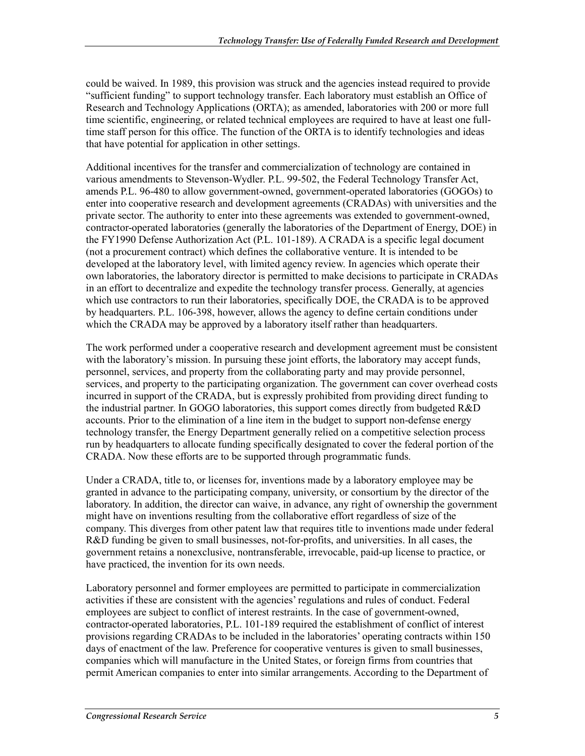could be waived. In 1989, this provision was struck and the agencies instead required to provide "sufficient funding" to support technology transfer. Each laboratory must establish an Office of Research and Technology Applications (ORTA); as amended, laboratories with 200 or more full time scientific, engineering, or related technical employees are required to have at least one fulltime staff person for this office. The function of the ORTA is to identify technologies and ideas that have potential for application in other settings.

Additional incentives for the transfer and commercialization of technology are contained in various amendments to Stevenson-Wydler. P.L. 99-502, the Federal Technology Transfer Act, amends P.L. 96-480 to allow government-owned, government-operated laboratories (GOGOs) to enter into cooperative research and development agreements (CRADAs) with universities and the private sector. The authority to enter into these agreements was extended to government-owned, contractor-operated laboratories (generally the laboratories of the Department of Energy, DOE) in the FY1990 Defense Authorization Act (P.L. 101-189). A CRADA is a specific legal document (not a procurement contract) which defines the collaborative venture. It is intended to be developed at the laboratory level, with limited agency review. In agencies which operate their own laboratories, the laboratory director is permitted to make decisions to participate in CRADAs in an effort to decentralize and expedite the technology transfer process. Generally, at agencies which use contractors to run their laboratories, specifically DOE, the CRADA is to be approved by headquarters. P.L. 106-398, however, allows the agency to define certain conditions under which the CRADA may be approved by a laboratory itself rather than headquarters.

The work performed under a cooperative research and development agreement must be consistent with the laboratory's mission. In pursuing these joint efforts, the laboratory may accept funds, personnel, services, and property from the collaborating party and may provide personnel, services, and property to the participating organization. The government can cover overhead costs incurred in support of the CRADA, but is expressly prohibited from providing direct funding to the industrial partner. In GOGO laboratories, this support comes directly from budgeted R&D accounts. Prior to the elimination of a line item in the budget to support non-defense energy technology transfer, the Energy Department generally relied on a competitive selection process run by headquarters to allocate funding specifically designated to cover the federal portion of the CRADA. Now these efforts are to be supported through programmatic funds.

Under a CRADA, title to, or licenses for, inventions made by a laboratory employee may be granted in advance to the participating company, university, or consortium by the director of the laboratory. In addition, the director can waive, in advance, any right of ownership the government might have on inventions resulting from the collaborative effort regardless of size of the company. This diverges from other patent law that requires title to inventions made under federal R&D funding be given to small businesses, not-for-profits, and universities. In all cases, the government retains a nonexclusive, nontransferable, irrevocable, paid-up license to practice, or have practiced, the invention for its own needs.

Laboratory personnel and former employees are permitted to participate in commercialization activities if these are consistent with the agencies' regulations and rules of conduct. Federal employees are subject to conflict of interest restraints. In the case of government-owned, contractor-operated laboratories, P.L. 101-189 required the establishment of conflict of interest provisions regarding CRADAs to be included in the laboratories' operating contracts within 150 days of enactment of the law. Preference for cooperative ventures is given to small businesses, companies which will manufacture in the United States, or foreign firms from countries that permit American companies to enter into similar arrangements. According to the Department of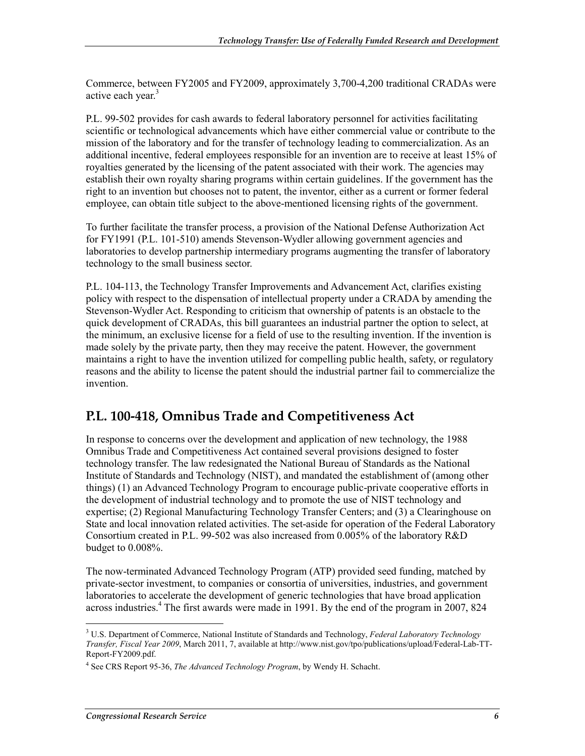Commerce, between FY2005 and FY2009, approximately 3,700-4,200 traditional CRADAs were active each year.<sup>3</sup>

P.L. 99-502 provides for cash awards to federal laboratory personnel for activities facilitating scientific or technological advancements which have either commercial value or contribute to the mission of the laboratory and for the transfer of technology leading to commercialization. As an additional incentive, federal employees responsible for an invention are to receive at least 15% of royalties generated by the licensing of the patent associated with their work. The agencies may establish their own royalty sharing programs within certain guidelines. If the government has the right to an invention but chooses not to patent, the inventor, either as a current or former federal employee, can obtain title subject to the above-mentioned licensing rights of the government.

To further facilitate the transfer process, a provision of the National Defense Authorization Act for FY1991 (P.L. 101-510) amends Stevenson-Wydler allowing government agencies and laboratories to develop partnership intermediary programs augmenting the transfer of laboratory technology to the small business sector.

P.L. 104-113, the Technology Transfer Improvements and Advancement Act, clarifies existing policy with respect to the dispensation of intellectual property under a CRADA by amending the Stevenson-Wydler Act. Responding to criticism that ownership of patents is an obstacle to the quick development of CRADAs, this bill guarantees an industrial partner the option to select, at the minimum, an exclusive license for a field of use to the resulting invention. If the invention is made solely by the private party, then they may receive the patent. However, the government maintains a right to have the invention utilized for compelling public health, safety, or regulatory reasons and the ability to license the patent should the industrial partner fail to commercialize the invention.

#### **P.L. 100-418, Omnibus Trade and Competitiveness Act**

In response to concerns over the development and application of new technology, the 1988 Omnibus Trade and Competitiveness Act contained several provisions designed to foster technology transfer. The law redesignated the National Bureau of Standards as the National Institute of Standards and Technology (NIST), and mandated the establishment of (among other things) (1) an Advanced Technology Program to encourage public-private cooperative efforts in the development of industrial technology and to promote the use of NIST technology and expertise; (2) Regional Manufacturing Technology Transfer Centers; and (3) a Clearinghouse on State and local innovation related activities. The set-aside for operation of the Federal Laboratory Consortium created in P.L. 99-502 was also increased from 0.005% of the laboratory R&D budget to 0.008%.

The now-terminated Advanced Technology Program (ATP) provided seed funding, matched by private-sector investment, to companies or consortia of universities, industries, and government laboratories to accelerate the development of generic technologies that have broad application across industries.<sup>4</sup> The first awards were made in 1991. By the end of the program in 2007, 824

<sup>3</sup> U.S. Department of Commerce, National Institute of Standards and Technology, *Federal Laboratory Technology Transfer, Fiscal Year 2009*, March 2011, 7, available at http://www.nist.gov/tpo/publications/upload/Federal-Lab-TT-Report-FY2009.pdf.

<sup>4</sup> See CRS Report 95-36, *The Advanced Technology Program*, by Wendy H. Schacht.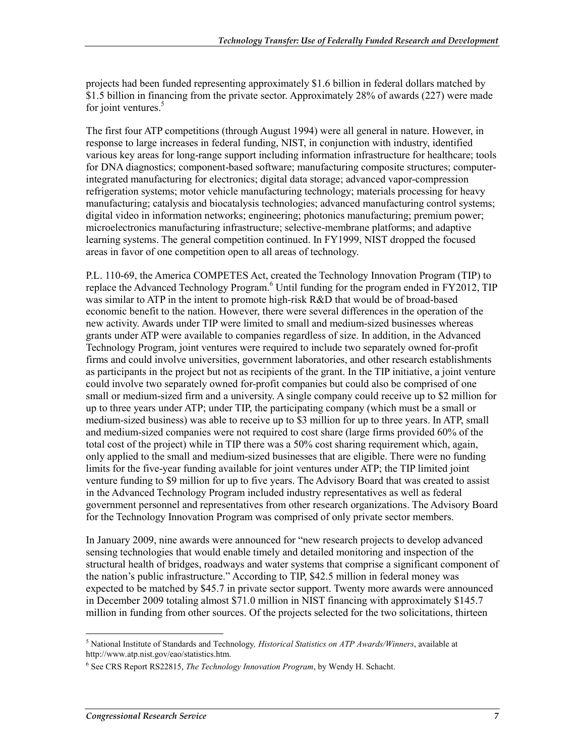projects had been funded representing approximately \$1.6 billion in federal dollars matched by \$1.5 billion in financing from the private sector. Approximately 28% of awards (227) were made for joint ventures.<sup>5</sup>

The first four ATP competitions (through August 1994) were all general in nature. However, in response to large increases in federal funding, NIST, in conjunction with industry, identified various key areas for long-range support including information infrastructure for healthcare; tools for DNA diagnostics; component-based software; manufacturing composite structures; computerintegrated manufacturing for electronics; digital data storage; advanced vapor-compression refrigeration systems; motor vehicle manufacturing technology; materials processing for heavy manufacturing; catalysis and biocatalysis technologies; advanced manufacturing control systems; digital video in information networks; engineering; photonics manufacturing; premium power; microelectronics manufacturing infrastructure; selective-membrane platforms; and adaptive learning systems. The general competition continued. In FY1999, NIST dropped the focused areas in favor of one competition open to all areas of technology.

P.L. 110-69, the America COMPETES Act, created the Technology Innovation Program (TIP) to replace the Advanced Technology Program.<sup>6</sup> Until funding for the program ended in FY2012, TIP was similar to ATP in the intent to promote high-risk R&D that would be of broad-based economic benefit to the nation. However, there were several differences in the operation of the new activity. Awards under TIP were limited to small and medium-sized businesses whereas grants under ATP were available to companies regardless of size. In addition, in the Advanced Technology Program, joint ventures were required to include two separately owned for-profit firms and could involve universities, government laboratories, and other research establishments as participants in the project but not as recipients of the grant. In the TIP initiative, a joint venture could involve two separately owned for-profit companies but could also be comprised of one small or medium-sized firm and a university. A single company could receive up to \$2 million for up to three years under ATP; under TIP, the participating company (which must be a small or medium-sized business) was able to receive up to \$3 million for up to three years. In ATP, small and medium-sized companies were not required to cost share (large firms provided 60% of the total cost of the project) while in TIP there was a 50% cost sharing requirement which, again, only applied to the small and medium-sized businesses that are eligible. There were no funding limits for the five-year funding available for joint ventures under ATP; the TIP limited joint venture funding to \$9 million for up to five years. The Advisory Board that was created to assist in the Advanced Technology Program included industry representatives as well as federal government personnel and representatives from other research organizations. The Advisory Board for the Technology Innovation Program was comprised of only private sector members.

In January 2009, nine awards were announced for "new research projects to develop advanced sensing technologies that would enable timely and detailed monitoring and inspection of the structural health of bridges, roadways and water systems that comprise a significant component of the nation's public infrastructure." According to TIP, \$42.5 million in federal money was expected to be matched by \$45.7 in private sector support. Twenty more awards were announced in December 2009 totaling almost \$71.0 million in NIST financing with approximately \$145.7 million in funding from other sources. Of the projects selected for the two solicitations, thirteen

<sup>5</sup> National Institute of Standards and Technology*, Historical Statistics on ATP Awards/Winners*, available at http://www.atp.nist.gov/eao/statistics.htm.

<sup>6</sup> See CRS Report RS22815, *The Technology Innovation Program*, by Wendy H. Schacht.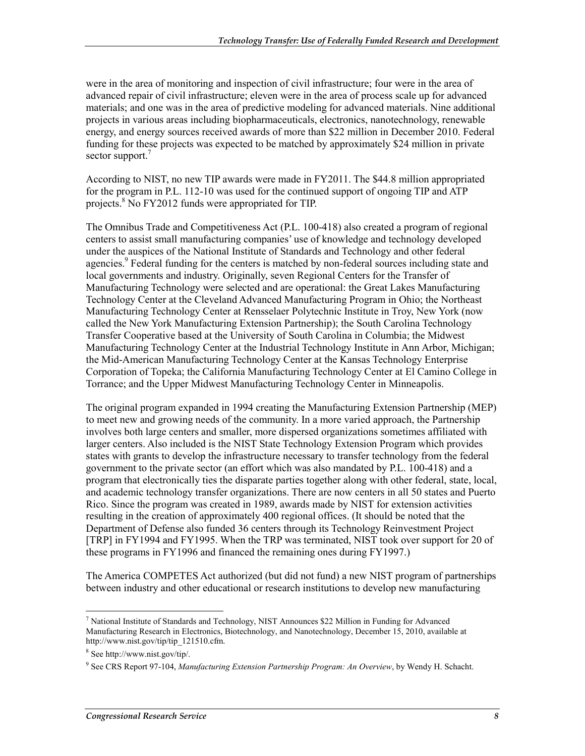were in the area of monitoring and inspection of civil infrastructure; four were in the area of advanced repair of civil infrastructure; eleven were in the area of process scale up for advanced materials; and one was in the area of predictive modeling for advanced materials. Nine additional projects in various areas including biopharmaceuticals, electronics, nanotechnology, renewable energy, and energy sources received awards of more than \$22 million in December 2010. Federal funding for these projects was expected to be matched by approximately \$24 million in private sector support.<sup>7</sup>

According to NIST, no new TIP awards were made in FY2011. The \$44.8 million appropriated for the program in P.L. 112-10 was used for the continued support of ongoing TIP and ATP projects.<sup>8</sup> No FY2012 funds were appropriated for TIP.

The Omnibus Trade and Competitiveness Act (P.L. 100-418) also created a program of regional centers to assist small manufacturing companies' use of knowledge and technology developed under the auspices of the National Institute of Standards and Technology and other federal agencies.<sup>9</sup> Federal funding for the centers is matched by non-federal sources including state and local governments and industry. Originally, seven Regional Centers for the Transfer of Manufacturing Technology were selected and are operational: the Great Lakes Manufacturing Technology Center at the Cleveland Advanced Manufacturing Program in Ohio; the Northeast Manufacturing Technology Center at Rensselaer Polytechnic Institute in Troy, New York (now called the New York Manufacturing Extension Partnership); the South Carolina Technology Transfer Cooperative based at the University of South Carolina in Columbia; the Midwest Manufacturing Technology Center at the Industrial Technology Institute in Ann Arbor, Michigan; the Mid-American Manufacturing Technology Center at the Kansas Technology Enterprise Corporation of Topeka; the California Manufacturing Technology Center at El Camino College in Torrance; and the Upper Midwest Manufacturing Technology Center in Minneapolis.

The original program expanded in 1994 creating the Manufacturing Extension Partnership (MEP) to meet new and growing needs of the community. In a more varied approach, the Partnership involves both large centers and smaller, more dispersed organizations sometimes affiliated with larger centers. Also included is the NIST State Technology Extension Program which provides states with grants to develop the infrastructure necessary to transfer technology from the federal government to the private sector (an effort which was also mandated by P.L. 100-418) and a program that electronically ties the disparate parties together along with other federal, state, local, and academic technology transfer organizations. There are now centers in all 50 states and Puerto Rico. Since the program was created in 1989, awards made by NIST for extension activities resulting in the creation of approximately 400 regional offices. (It should be noted that the Department of Defense also funded 36 centers through its Technology Reinvestment Project [TRP] in FY1994 and FY1995. When the TRP was terminated, NIST took over support for 20 of these programs in FY1996 and financed the remaining ones during FY1997.)

The America COMPETES Act authorized (but did not fund) a new NIST program of partnerships between industry and other educational or research institutions to develop new manufacturing

<sup>&</sup>lt;sup>7</sup> National Institute of Standards and Technology, NIST Announces \$22 Million in Funding for Advanced Manufacturing Research in Electronics, Biotechnology, and Nanotechnology, December 15, 2010, available at http://www.nist.gov/tip/tip\_121510.cfm.

<sup>8</sup> See http://www.nist.gov/tip/.

<sup>9</sup> See CRS Report 97-104, *Manufacturing Extension Partnership Program: An Overview*, by Wendy H. Schacht.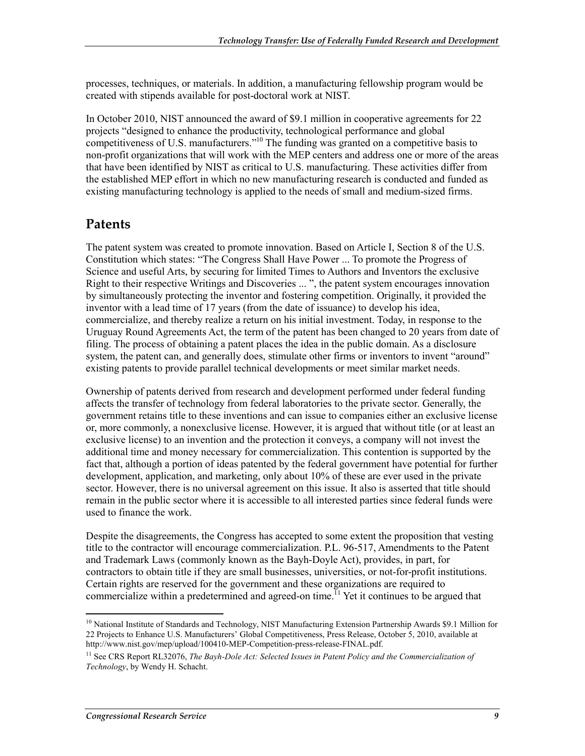processes, techniques, or materials. In addition, a manufacturing fellowship program would be created with stipends available for post-doctoral work at NIST.

In October 2010, NIST announced the award of \$9.1 million in cooperative agreements for 22 projects "designed to enhance the productivity, technological performance and global competitiveness of U.S. manufacturers."10 The funding was granted on a competitive basis to non-profit organizations that will work with the MEP centers and address one or more of the areas that have been identified by NIST as critical to U.S. manufacturing. These activities differ from the established MEP effort in which no new manufacturing research is conducted and funded as existing manufacturing technology is applied to the needs of small and medium-sized firms.

#### **Patents**

The patent system was created to promote innovation. Based on Article I, Section 8 of the U.S. Constitution which states: "The Congress Shall Have Power ... To promote the Progress of Science and useful Arts, by securing for limited Times to Authors and Inventors the exclusive Right to their respective Writings and Discoveries ... ", the patent system encourages innovation by simultaneously protecting the inventor and fostering competition. Originally, it provided the inventor with a lead time of 17 years (from the date of issuance) to develop his idea, commercialize, and thereby realize a return on his initial investment. Today, in response to the Uruguay Round Agreements Act, the term of the patent has been changed to 20 years from date of filing. The process of obtaining a patent places the idea in the public domain. As a disclosure system, the patent can, and generally does, stimulate other firms or inventors to invent "around" existing patents to provide parallel technical developments or meet similar market needs.

Ownership of patents derived from research and development performed under federal funding affects the transfer of technology from federal laboratories to the private sector. Generally, the government retains title to these inventions and can issue to companies either an exclusive license or, more commonly, a nonexclusive license. However, it is argued that without title (or at least an exclusive license) to an invention and the protection it conveys, a company will not invest the additional time and money necessary for commercialization. This contention is supported by the fact that, although a portion of ideas patented by the federal government have potential for further development, application, and marketing, only about 10% of these are ever used in the private sector. However, there is no universal agreement on this issue. It also is asserted that title should remain in the public sector where it is accessible to all interested parties since federal funds were used to finance the work.

Despite the disagreements, the Congress has accepted to some extent the proposition that vesting title to the contractor will encourage commercialization. P.L. 96-517, Amendments to the Patent and Trademark Laws (commonly known as the Bayh-Doyle Act), provides, in part, for contractors to obtain title if they are small businesses, universities, or not-for-profit institutions. Certain rights are reserved for the government and these organizations are required to commercialize within a predetermined and agreed-on time.<sup>11</sup> Yet it continues to be argued that

<sup>&</sup>lt;sup>10</sup> National Institute of Standards and Technology, NIST Manufacturing Extension Partnership Awards \$9.1 Million for 22 Projects to Enhance U.S. Manufacturers' Global Competitiveness, Press Release, October 5, 2010, available at http://www.nist.gov/mep/upload/100410-MEP-Competition-press-release-FINAL.pdf.

<sup>&</sup>lt;sup>11</sup> See CRS Report RL32076, *The Bayh-Dole Act: Selected Issues in Patent Policy and the Commercialization of Technology*, by Wendy H. Schacht.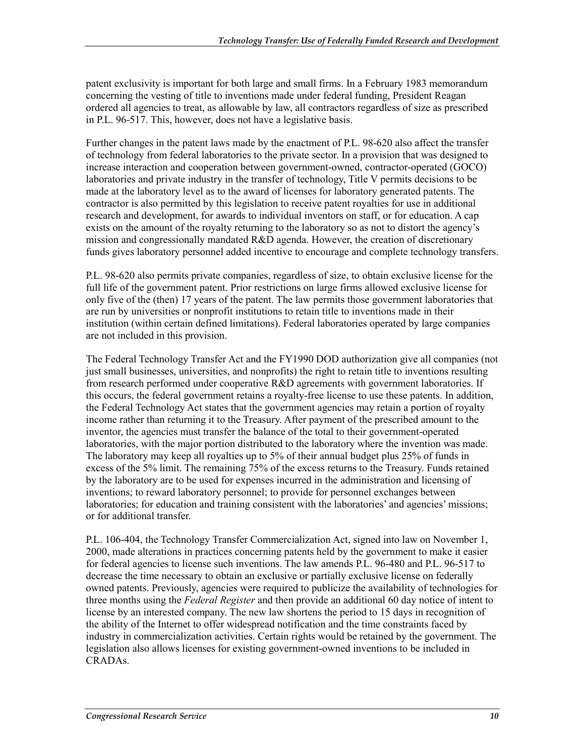patent exclusivity is important for both large and small firms. In a February 1983 memorandum concerning the vesting of title to inventions made under federal funding, President Reagan ordered all agencies to treat, as allowable by law, all contractors regardless of size as prescribed in P.L. 96-517. This, however, does not have a legislative basis.

Further changes in the patent laws made by the enactment of P.L. 98-620 also affect the transfer of technology from federal laboratories to the private sector. In a provision that was designed to increase interaction and cooperation between government-owned, contractor-operated (GOCO) laboratories and private industry in the transfer of technology, Title V permits decisions to be made at the laboratory level as to the award of licenses for laboratory generated patents. The contractor is also permitted by this legislation to receive patent royalties for use in additional research and development, for awards to individual inventors on staff, or for education. A cap exists on the amount of the royalty returning to the laboratory so as not to distort the agency's mission and congressionally mandated R&D agenda. However, the creation of discretionary funds gives laboratory personnel added incentive to encourage and complete technology transfers.

P.L. 98-620 also permits private companies, regardless of size, to obtain exclusive license for the full life of the government patent. Prior restrictions on large firms allowed exclusive license for only five of the (then) 17 years of the patent. The law permits those government laboratories that are run by universities or nonprofit institutions to retain title to inventions made in their institution (within certain defined limitations). Federal laboratories operated by large companies are not included in this provision.

The Federal Technology Transfer Act and the FY1990 DOD authorization give all companies (not just small businesses, universities, and nonprofits) the right to retain title to inventions resulting from research performed under cooperative R&D agreements with government laboratories. If this occurs, the federal government retains a royalty-free license to use these patents. In addition, the Federal Technology Act states that the government agencies may retain a portion of royalty income rather than returning it to the Treasury. After payment of the prescribed amount to the inventor, the agencies must transfer the balance of the total to their government-operated laboratories, with the major portion distributed to the laboratory where the invention was made. The laboratory may keep all royalties up to 5% of their annual budget plus 25% of funds in excess of the 5% limit. The remaining 75% of the excess returns to the Treasury. Funds retained by the laboratory are to be used for expenses incurred in the administration and licensing of inventions; to reward laboratory personnel; to provide for personnel exchanges between laboratories; for education and training consistent with the laboratories' and agencies' missions; or for additional transfer.

P.L. 106-404, the Technology Transfer Commercialization Act, signed into law on November 1, 2000, made alterations in practices concerning patents held by the government to make it easier for federal agencies to license such inventions. The law amends P.L. 96-480 and P.L. 96-517 to decrease the time necessary to obtain an exclusive or partially exclusive license on federally owned patents. Previously, agencies were required to publicize the availability of technologies for three months using the *Federal Register* and then provide an additional 60 day notice of intent to license by an interested company. The new law shortens the period to 15 days in recognition of the ability of the Internet to offer widespread notification and the time constraints faced by industry in commercialization activities. Certain rights would be retained by the government. The legislation also allows licenses for existing government-owned inventions to be included in CRADAs.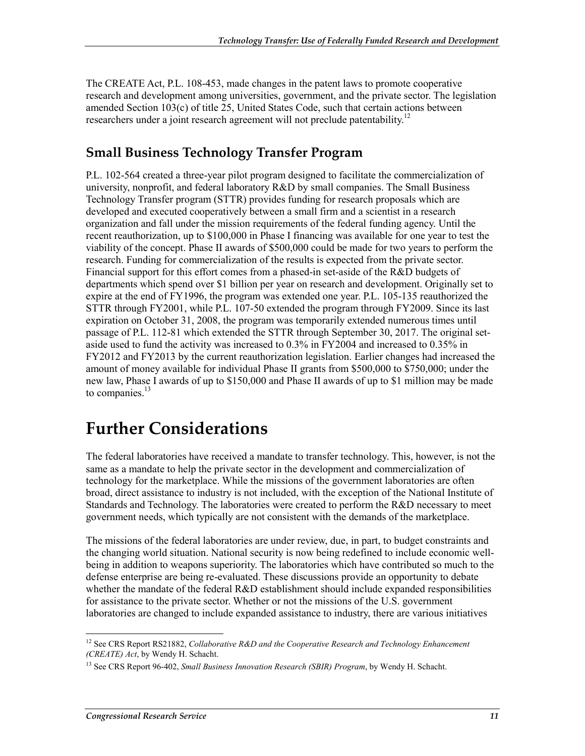The CREATE Act, P.L. 108-453, made changes in the patent laws to promote cooperative research and development among universities, government, and the private sector. The legislation amended Section 103(c) of title 25, United States Code, such that certain actions between researchers under a joint research agreement will not preclude patentability.<sup>12</sup>

#### **Small Business Technology Transfer Program**

P.L. 102-564 created a three-year pilot program designed to facilitate the commercialization of university, nonprofit, and federal laboratory  $R\&D$  by small companies. The Small Business Technology Transfer program (STTR) provides funding for research proposals which are developed and executed cooperatively between a small firm and a scientist in a research organization and fall under the mission requirements of the federal funding agency. Until the recent reauthorization, up to \$100,000 in Phase I financing was available for one year to test the viability of the concept. Phase II awards of \$500,000 could be made for two years to perform the research. Funding for commercialization of the results is expected from the private sector. Financial support for this effort comes from a phased-in set-aside of the R&D budgets of departments which spend over \$1 billion per year on research and development. Originally set to expire at the end of FY1996, the program was extended one year. P.L. 105-135 reauthorized the STTR through FY2001, while P.L. 107-50 extended the program through FY2009. Since its last expiration on October 31, 2008, the program was temporarily extended numerous times until passage of P.L. 112-81 which extended the STTR through September 30, 2017. The original setaside used to fund the activity was increased to 0.3% in FY2004 and increased to 0.35% in FY2012 and FY2013 by the current reauthorization legislation. Earlier changes had increased the amount of money available for individual Phase II grants from \$500,000 to \$750,000; under the new law, Phase I awards of up to \$150,000 and Phase II awards of up to \$1 million may be made to companies. $^{13}$ 

### **Further Considerations**

The federal laboratories have received a mandate to transfer technology. This, however, is not the same as a mandate to help the private sector in the development and commercialization of technology for the marketplace. While the missions of the government laboratories are often broad, direct assistance to industry is not included, with the exception of the National Institute of Standards and Technology. The laboratories were created to perform the R&D necessary to meet government needs, which typically are not consistent with the demands of the marketplace.

The missions of the federal laboratories are under review, due, in part, to budget constraints and the changing world situation. National security is now being redefined to include economic wellbeing in addition to weapons superiority. The laboratories which have contributed so much to the defense enterprise are being re-evaluated. These discussions provide an opportunity to debate whether the mandate of the federal R&D establishment should include expanded responsibilities for assistance to the private sector. Whether or not the missions of the U.S. government laboratories are changed to include expanded assistance to industry, there are various initiatives

<sup>12</sup> See CRS Report RS21882, *Collaborative R&D and the Cooperative Research and Technology Enhancement (CREATE) Act*, by Wendy H. Schacht.

<sup>13</sup> See CRS Report 96-402, *Small Business Innovation Research (SBIR) Program*, by Wendy H. Schacht.